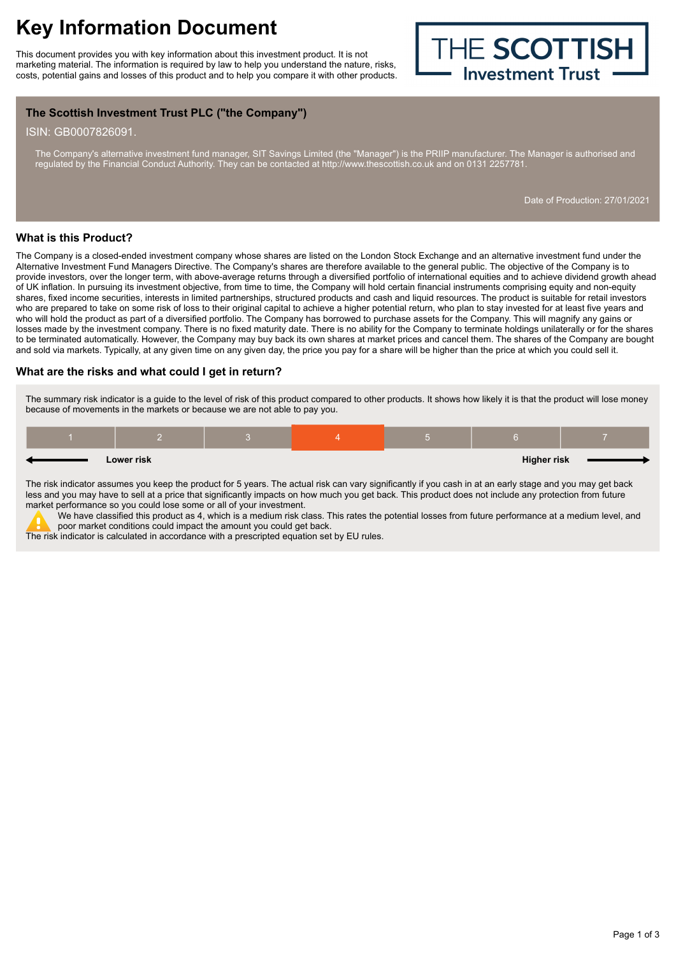This document provides you with key information about this investment product. It is not marketing material. The information is required by law to help you understand the nature, risks,<br>
costs, potential gains and losses of this product and to help you compare it with other products. costs, potential gains and losses of this product and to help you compare it with other products.



# **The Scottish Investment Trust PLC ("the Company")**

ISIN: GB0007826091.

The Company's alternative investment fund manager, SIT Savings Limited (the "Manager") is the PRIIP manufacturer. The Manager is authorised and regulated by the Financial Conduct Authority. They can be contacted at http://www.thescottish.co.uk and on 0131 2257781.

Date of Production: 27/01/2021

#### **What is this Product?**

The Company is a closed-ended investment company whose shares are listed on the London Stock Exchange and an alternative investment fund under the Alternative Investment Fund Managers Directive. The Company's shares are therefore available to the general public. The objective of the Company is to provide investors, over the longer term, with above-average returns through a diversified portfolio of international equities and to achieve dividend growth ahead of UK inflation. In pursuing its investment objective, from time to time, the Company will hold certain financial instruments comprising equity and non-equity shares, fixed income securities, interests in limited partnerships, structured products and cash and liquid resources. The product is suitable for retail investors who are prepared to take on some risk of loss to their original capital to achieve a higher potential return, who plan to stay invested for at least five years and who will hold the product as part of a diversified portfolio. The Company has borrowed to purchase assets for the Company. This will magnify any gains or losses made by the investment company. There is no fixed maturity date. There is no ability for the Company to terminate holdings unilaterally or for the shares to be terminated automatically. However, the Company may buy back its own shares at market prices and cancel them. The shares of the Company are bought and sold via markets. Typically, at any given time on any given day, the price you pay for a share will be higher than the price at which you could sell it.

## **What are the risks and what could I get in return?**

The summary risk indicator is a guide to the level of risk of this product compared to other products. It shows how likely it is that the product will lose money because of movements in the markets or because we are not able to pay you.

|  | Lower risk |  | <b>Higher risk</b> |  |
|--|------------|--|--------------------|--|
|  |            |  |                    |  |

The risk indicator assumes you keep the product for 5 years. The actual risk can vary significantly if you cash in at an early stage and you may get back less and you may have to sell at a price that significantly impacts on how much you get back. This product does not include any protection from future market performance so you could lose some or all of your investment.

We have classified this product as 4, which is a medium risk class. This rates the potential losses from future performance at a medium level, and poor market conditions could impact the amount you could get back.

The risk indicator is calculated in accordance with a prescripted equation set by EU rules.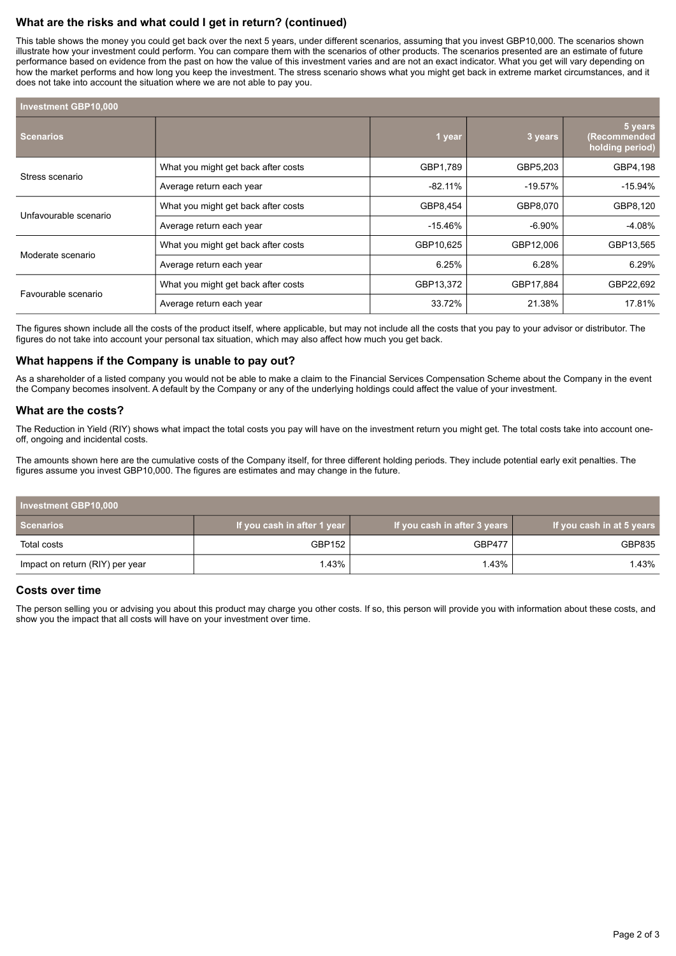# **What are the risks and what could I get in return? (continued)**

This table shows the money you could get back over the next 5 years, under different scenarios, assuming that you invest GBP10,000. The scenarios shown illustrate how your investment could perform. You can compare them with the scenarios of other products. The scenarios presented are an estimate of future performance based on evidence from the past on how the value of this investment varies and are not an exact indicator. What you get will vary depending on how the market performs and how long you keep the investment. The stress scenario shows what you might get back in extreme market circumstances, and it does not take into account the situation where we are not able to pay you.

| <b>Investment GBP10,000</b> |                                     |            |            |                                            |  |  |  |
|-----------------------------|-------------------------------------|------------|------------|--------------------------------------------|--|--|--|
| <b>Scenarios</b>            |                                     | 1 year     | 3 years    | 5 years<br>(Recommended<br>holding period) |  |  |  |
|                             | What you might get back after costs | GBP1,789   | GBP5,203   | GBP4,198                                   |  |  |  |
| Stress scenario             | Average return each year            | $-82.11%$  | $-19.57\%$ | -15.94%                                    |  |  |  |
| Unfavourable scenario       | What you might get back after costs | GBP8,454   | GBP8,070   | GBP8,120                                   |  |  |  |
|                             | Average return each year            | $-15.46\%$ | -6.90%     | $-4.08%$                                   |  |  |  |
| Moderate scenario           | What you might get back after costs | GBP10,625  | GBP12,006  | GBP13,565                                  |  |  |  |
|                             | Average return each year            | 6.25%      | 6.28%      | 6.29%                                      |  |  |  |
| Favourable scenario         | What you might get back after costs | GBP13,372  | GBP17,884  | GBP22,692                                  |  |  |  |
|                             | Average return each year            | 33.72%     | 21.38%     | 17.81%                                     |  |  |  |

The figures shown include all the costs of the product itself, where applicable, but may not include all the costs that you pay to your advisor or distributor. The figures do not take into account your personal tax situation, which may also affect how much you get back.

## **What happens if the Company is unable to pay out?**

As a shareholder of a listed company you would not be able to make a claim to the Financial Services Compensation Scheme about the Company in the event the Company becomes insolvent. A default by the Company or any of the underlying holdings could affect the value of your investment.

## **What are the costs?**

The Reduction in Yield (RIY) shows what impact the total costs you pay will have on the investment return you might get. The total costs take into account oneoff, ongoing and incidental costs.

The amounts shown here are the cumulative costs of the Company itself, for three different holding periods. They include potential early exit penalties. The figures assume you invest GBP10,000. The figures are estimates and may change in the future.

| Investment GBP10,000            |                             |                              |                           |  |  |
|---------------------------------|-----------------------------|------------------------------|---------------------------|--|--|
| Scenarios                       | If you cash in after 1 year | If you cash in after 3 years | If you cash in at 5 years |  |  |
| Total costs                     | GBP152                      | <b>GBP477</b>                | GBP835                    |  |  |
| Impact on return (RIY) per year | 1.43%                       | <b>.43%</b>                  | 1.43%                     |  |  |

## **Costs over time**

The person selling you or advising you about this product may charge you other costs. If so, this person will provide you with information about these costs, and show you the impact that all costs will have on your investment over time.